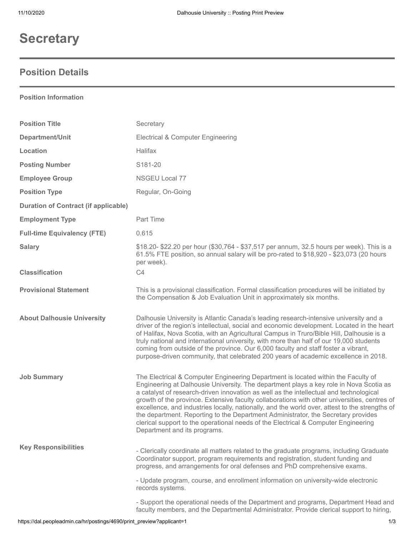# **Secretary**

## **Position Details**

#### **Position Information**

| <b>Position Title</b>                       | Secretary                                                                                                                                                                                                                                                                                                                                                                                                                                                                                                                                                                                                                                                                          |
|---------------------------------------------|------------------------------------------------------------------------------------------------------------------------------------------------------------------------------------------------------------------------------------------------------------------------------------------------------------------------------------------------------------------------------------------------------------------------------------------------------------------------------------------------------------------------------------------------------------------------------------------------------------------------------------------------------------------------------------|
| Department/Unit                             | <b>Electrical &amp; Computer Engineering</b>                                                                                                                                                                                                                                                                                                                                                                                                                                                                                                                                                                                                                                       |
| Location                                    | Halifax                                                                                                                                                                                                                                                                                                                                                                                                                                                                                                                                                                                                                                                                            |
| <b>Posting Number</b>                       | S181-20                                                                                                                                                                                                                                                                                                                                                                                                                                                                                                                                                                                                                                                                            |
| <b>Employee Group</b>                       | NSGEU Local 77                                                                                                                                                                                                                                                                                                                                                                                                                                                                                                                                                                                                                                                                     |
| <b>Position Type</b>                        | Regular, On-Going                                                                                                                                                                                                                                                                                                                                                                                                                                                                                                                                                                                                                                                                  |
| <b>Duration of Contract (if applicable)</b> |                                                                                                                                                                                                                                                                                                                                                                                                                                                                                                                                                                                                                                                                                    |
| <b>Employment Type</b>                      | Part Time                                                                                                                                                                                                                                                                                                                                                                                                                                                                                                                                                                                                                                                                          |
| <b>Full-time Equivalency (FTE)</b>          | 0.615                                                                                                                                                                                                                                                                                                                                                                                                                                                                                                                                                                                                                                                                              |
| <b>Salary</b>                               | \$18.20- \$22.20 per hour (\$30,764 - \$37,517 per annum, 32.5 hours per week). This is a<br>61.5% FTE position, so annual salary will be pro-rated to \$18,920 - \$23,073 (20 hours<br>per week).                                                                                                                                                                                                                                                                                                                                                                                                                                                                                 |
| <b>Classification</b>                       | C <sub>4</sub>                                                                                                                                                                                                                                                                                                                                                                                                                                                                                                                                                                                                                                                                     |
| <b>Provisional Statement</b>                | This is a provisional classification. Formal classification procedures will be initiated by<br>the Compensation & Job Evaluation Unit in approximately six months.                                                                                                                                                                                                                                                                                                                                                                                                                                                                                                                 |
| <b>About Dalhousie University</b>           | Dalhousie University is Atlantic Canada's leading research-intensive university and a<br>driver of the region's intellectual, social and economic development. Located in the heart<br>of Halifax, Nova Scotia, with an Agricultural Campus in Truro/Bible Hill, Dalhousie is a<br>truly national and international university, with more than half of our 19,000 students<br>coming from outside of the province. Our 6,000 faculty and staff foster a vibrant,<br>purpose-driven community, that celebrated 200 years of academic excellence in 2018.                                                                                                                            |
| <b>Job Summary</b>                          | The Electrical & Computer Engineering Department is located within the Faculty of<br>Engineering at Dalhousie University. The department plays a key role in Nova Scotia as<br>a catalyst of research-driven innovation as well as the intellectual and technological<br>growth of the province. Extensive faculty collaborations with other universities, centres of<br>excellence, and industries locally, nationally, and the world over, attest to the strengths of<br>the department. Reporting to the Department Administrator, the Secretary provides<br>clerical support to the operational needs of the Electrical & Computer Engineering<br>Department and its programs. |
| <b>Key Responsibilities</b>                 | - Clerically coordinate all matters related to the graduate programs, including Graduate<br>Coordinator support, program requirements and registration, student funding and<br>progress, and arrangements for oral defenses and PhD comprehensive exams.<br>- Update program, course, and enrollment information on university-wide electronic                                                                                                                                                                                                                                                                                                                                     |
|                                             | records systems.<br>- Support the operational needs of the Department and programs, Department Head and<br>faculty members, and the Departmental Administrator. Provide clerical support to hiring,                                                                                                                                                                                                                                                                                                                                                                                                                                                                                |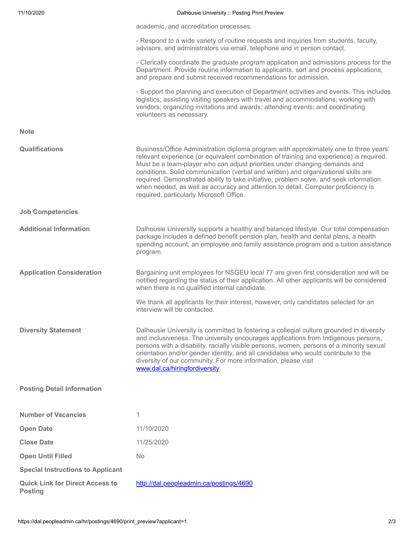| 11/10/2020                                               | Dalhousie University :: Posting Print Preview                                                                                                                                                                                                                                                                                                                                                                                                                                                                                                                                   |
|----------------------------------------------------------|---------------------------------------------------------------------------------------------------------------------------------------------------------------------------------------------------------------------------------------------------------------------------------------------------------------------------------------------------------------------------------------------------------------------------------------------------------------------------------------------------------------------------------------------------------------------------------|
|                                                          | academic, and accreditation processes.                                                                                                                                                                                                                                                                                                                                                                                                                                                                                                                                          |
|                                                          | - Respond to a wide variety of routine requests and inquiries from students, faculty,<br>advisors, and administrators via email, telephone and in person contact.                                                                                                                                                                                                                                                                                                                                                                                                               |
|                                                          | - Clerically coordinate the graduate program application and admissions process for the<br>Department. Provide routine information to applicants, sort and process applications,<br>and prepare and submit received recommendations for admission.                                                                                                                                                                                                                                                                                                                              |
|                                                          | - Support the planning and execution of Department activities and events. This includes<br>logistics; assisting visiting speakers with travel and accommodations; working with<br>vendors; organizing invitations and awards; attending events; and coordinating<br>volunteers as necessary.                                                                                                                                                                                                                                                                                    |
| <b>Note</b>                                              |                                                                                                                                                                                                                                                                                                                                                                                                                                                                                                                                                                                 |
| Qualifications                                           | Business/Office Administration diploma program with approximately one to three years'<br>relevant experience (or equivalent combination of training and experience) is required.<br>Must be a team-player who can adjust priorities under changing demands and<br>conditions. Solid communication (verbal and written) and organizational skills are<br>required. Demonstrated ability to take initiative, problem solve, and seek information<br>when needed, as well as accuracy and attention to detail. Computer proficiency is<br>required, particularly Microsoft Office. |
| <b>Job Competencies</b>                                  |                                                                                                                                                                                                                                                                                                                                                                                                                                                                                                                                                                                 |
| <b>Additional Information</b>                            | Dalhousie University supports a healthy and balanced lifestyle. Our total compensation<br>package includes a defined benefit pension plan, health and dental plans, a health<br>spending account, an employee and family assistance program and a tuition assistance<br>program.                                                                                                                                                                                                                                                                                                |
| <b>Application Consideration</b>                         | Bargaining unit employees for NSGEU local 77 are given first consideration and will be<br>notified regarding the status of their application. All other applicants will be considered<br>when there is no qualified internal candidate.                                                                                                                                                                                                                                                                                                                                         |
|                                                          | We thank all applicants for their interest, however, only candidates selected for an<br>interview will be contacted.                                                                                                                                                                                                                                                                                                                                                                                                                                                            |
| <b>Diversity Statement</b>                               | Dalhousie University is committed to fostering a collegial culture grounded in diversity<br>and inclusiveness. The university encourages applications from Indigenous persons,<br>persons with a disability, racially visible persons, women, persons of a minority sexual<br>orientation and/or gender identity, and all candidates who would contribute to the<br>diversity of our community. For more information, please visit<br>www.dal.ca/hiringfordiversity.                                                                                                            |
| <b>Posting Detail Information</b>                        |                                                                                                                                                                                                                                                                                                                                                                                                                                                                                                                                                                                 |
| <b>Number of Vacancies</b>                               | 1                                                                                                                                                                                                                                                                                                                                                                                                                                                                                                                                                                               |
| <b>Open Date</b>                                         | 11/10/2020                                                                                                                                                                                                                                                                                                                                                                                                                                                                                                                                                                      |
| <b>Close Date</b>                                        | 11/25/2020                                                                                                                                                                                                                                                                                                                                                                                                                                                                                                                                                                      |
| <b>Open Until Filled</b>                                 | No                                                                                                                                                                                                                                                                                                                                                                                                                                                                                                                                                                              |
| <b>Special Instructions to Applicant</b>                 |                                                                                                                                                                                                                                                                                                                                                                                                                                                                                                                                                                                 |
| <b>Quick Link for Direct Access to</b><br><b>Posting</b> | http://dal.peopleadmin.ca/postings/4690                                                                                                                                                                                                                                                                                                                                                                                                                                                                                                                                         |